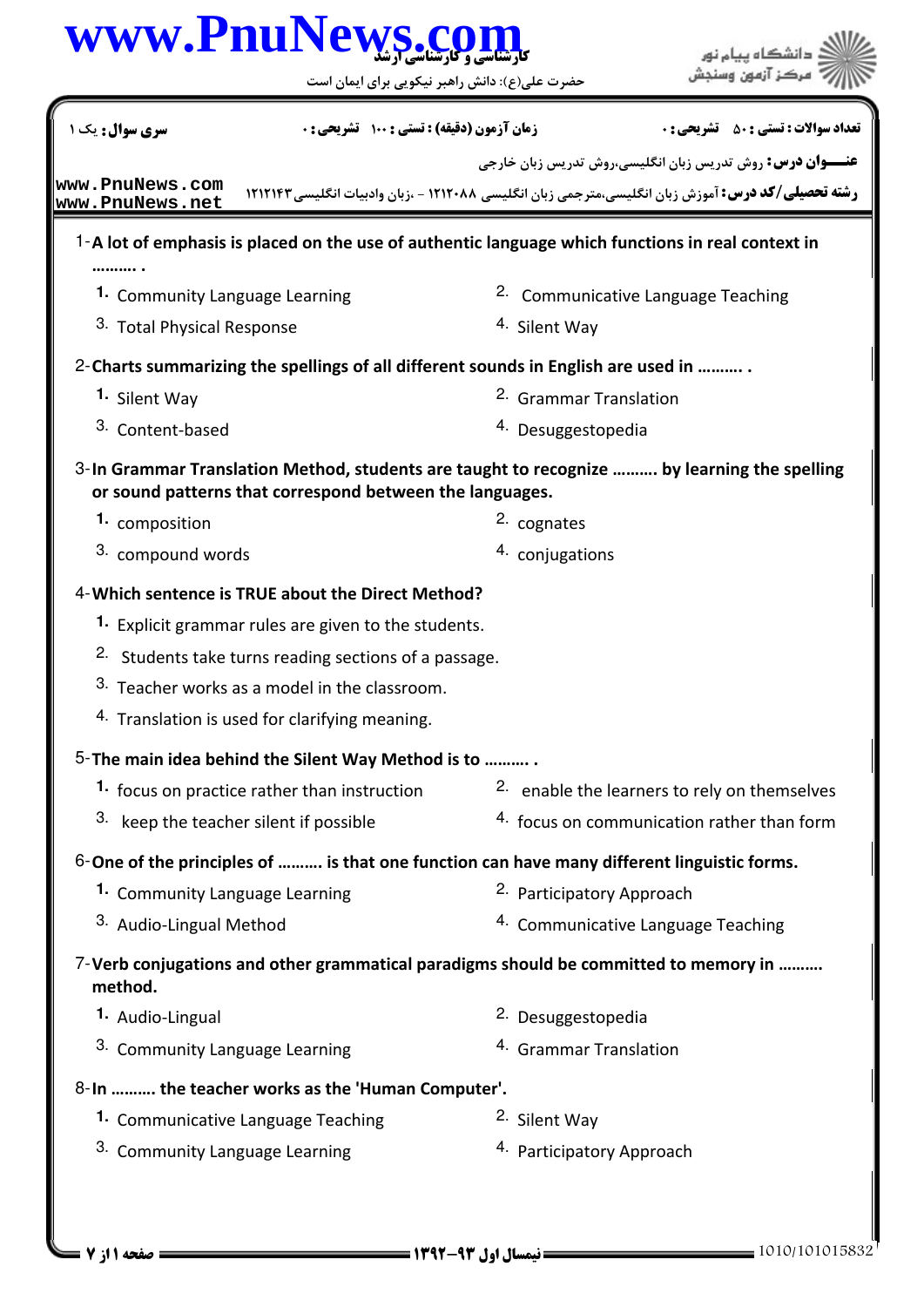|                                                     | www.PnuNews.c                                                    | حضرت علی(ع): دانش راهبر نیکویی برای ایمان است                                              |                                                                                                           |
|-----------------------------------------------------|------------------------------------------------------------------|--------------------------------------------------------------------------------------------|-----------------------------------------------------------------------------------------------------------|
| سری سوال: یک ۱                                      | زمان آزمون (دقیقه) : تستی : 100 تشریحی : 0                       |                                                                                            | <b>تعداد سوالات : تستي : 50 ٪ تشريحي : 0</b>                                                              |
|                                                     |                                                                  |                                                                                            | <b>عنـــوان درس:</b> روش تدریس زبان انگلیسی،روش تدریس زبان خارجی                                          |
| www.PnuNews.com<br>www.PnuNews.net                  |                                                                  |                                                                                            | <b>رشته تحصیلی/کد درس:</b> آموزش زبان انگلیسی،مترجمی زبان انگلیسی ۱۲۱۲۰۸۸ - ،زبان وادبیات انگلیسی ۱۲۱۲۱۴۳ |
|                                                     |                                                                  |                                                                                            | 1-A lot of emphasis is placed on the use of authentic language which functions in real context in         |
| .<br>1. Community Language Learning                 |                                                                  |                                                                                            | <sup>2.</sup> Communicative Language Teaching                                                             |
| 3. Total Physical Response                          |                                                                  | 4. Silent Way                                                                              |                                                                                                           |
|                                                     |                                                                  | 2- Charts summarizing the spellings of all different sounds in English are used in         |                                                                                                           |
| 1. Silent Way                                       |                                                                  | <sup>2.</sup> Grammar Translation                                                          |                                                                                                           |
| 3. Content-based                                    |                                                                  | <sup>4.</sup> Desuggestopedia                                                              |                                                                                                           |
|                                                     | or sound patterns that correspond between the languages.         |                                                                                            | 3-In Grammar Translation Method, students are taught to recognize  by learning the spelling               |
| 1. composition                                      |                                                                  | 2. cognates                                                                                |                                                                                                           |
| 3. compound words                                   |                                                                  | 4. conjugations                                                                            |                                                                                                           |
| 4-Which sentence is TRUE about the Direct Method?   |                                                                  |                                                                                            |                                                                                                           |
|                                                     | 1. Explicit grammar rules are given to the students.             |                                                                                            |                                                                                                           |
|                                                     | <sup>2.</sup> Students take turns reading sections of a passage. |                                                                                            |                                                                                                           |
|                                                     | 3. Teacher works as a model in the classroom.                    |                                                                                            |                                                                                                           |
|                                                     | <sup>4.</sup> Translation is used for clarifying meaning.        |                                                                                            |                                                                                                           |
| 5- The main idea behind the Silent Way Method is to |                                                                  |                                                                                            |                                                                                                           |
|                                                     | 1. focus on practice rather than instruction                     |                                                                                            | 2. enable the learners to rely on themselves                                                              |
| 3. keep the teacher silent if possible              |                                                                  |                                                                                            | 4. focus on communication rather than form                                                                |
|                                                     |                                                                  | 6-One of the principles of  is that one function can have many different linguistic forms. |                                                                                                           |
| 1. Community Language Learning                      |                                                                  | 2. Participatory Approach                                                                  |                                                                                                           |
| 3. Audio-Lingual Method                             |                                                                  |                                                                                            | 4. Communicative Language Teaching                                                                        |
| method.                                             |                                                                  |                                                                                            | 7-Verb conjugations and other grammatical paradigms should be committed to memory in                      |
| 1. Audio-Lingual                                    |                                                                  | 2. Desuggestopedia                                                                         |                                                                                                           |
| 3. Community Language Learning                      |                                                                  | <sup>4.</sup> Grammar Translation                                                          |                                                                                                           |
| 8-In  the teacher works as the 'Human Computer'.    |                                                                  |                                                                                            |                                                                                                           |
| 1. Communicative Language Teaching                  |                                                                  | 2. Silent Way                                                                              |                                                                                                           |
| 3. Community Language Learning                      |                                                                  | 4. Participatory Approach                                                                  |                                                                                                           |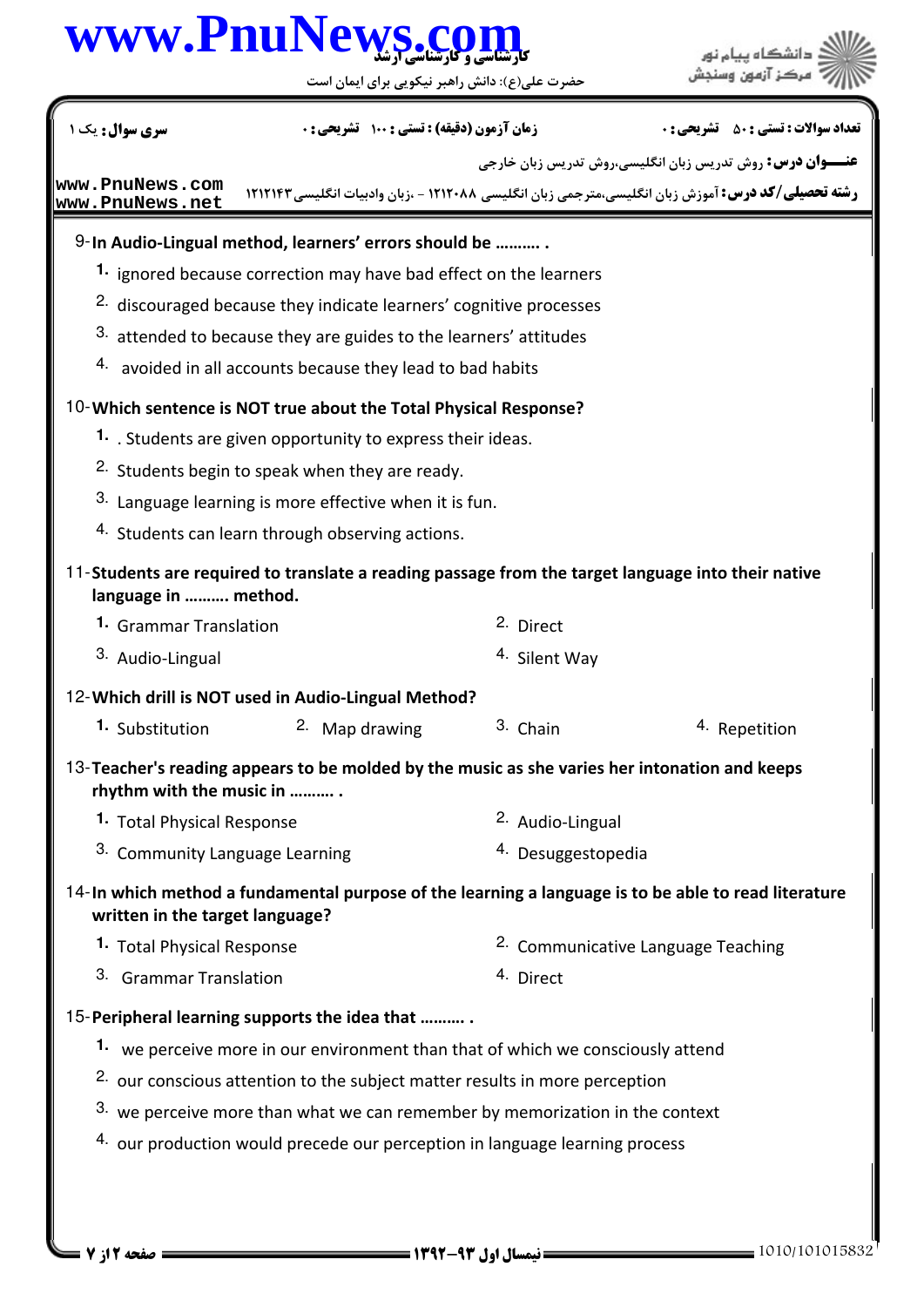## كارشناسي و كارشناسي ارشد **[www.PnuNews.com](http://www.PnuNews.com)**

حضرت علي(ع): دانش راهبر نيكويي براي ايمان است

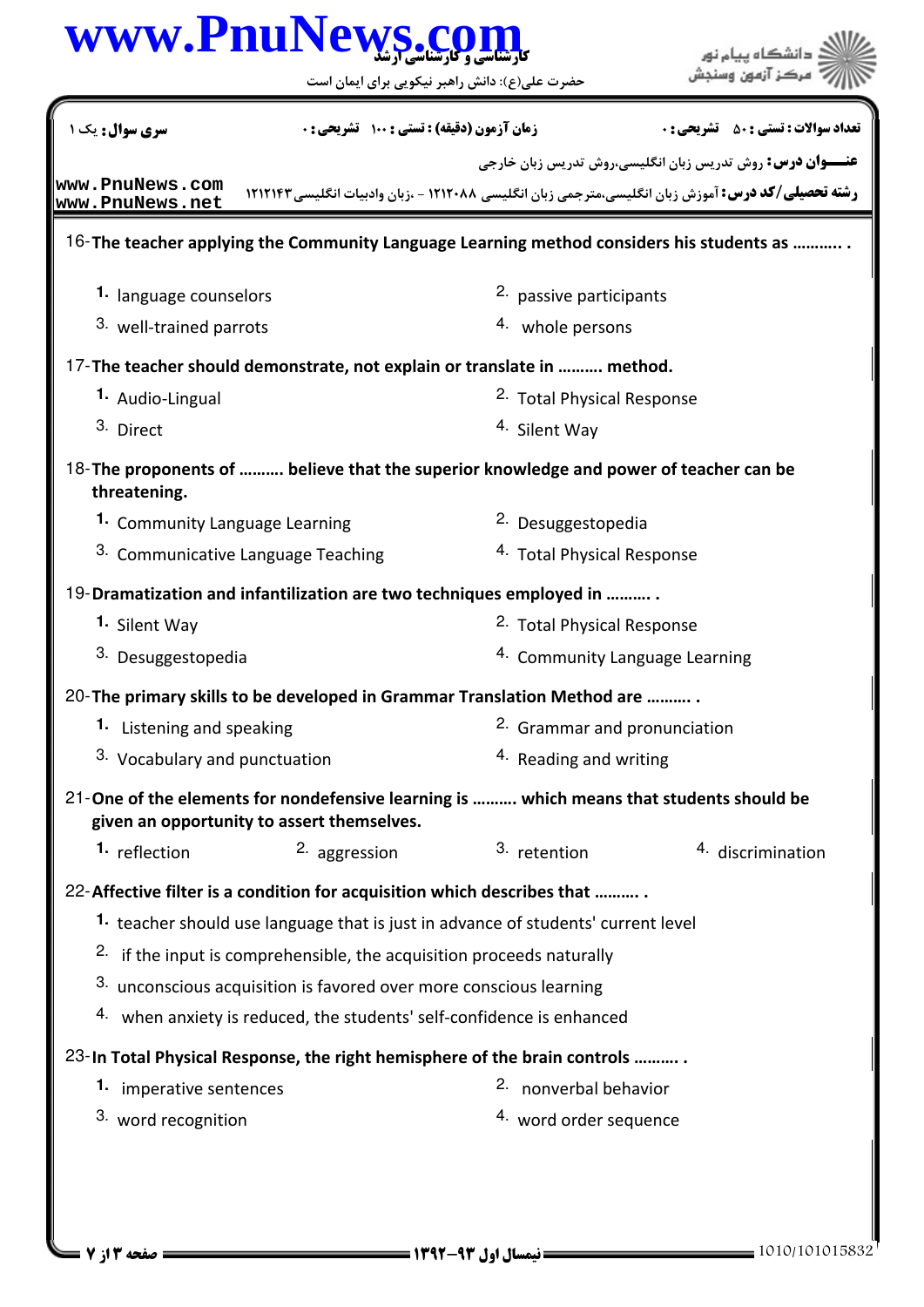### كارشناسي و كارشناسي ارشد **[www.PnuNews.com](http://www.PnuNews.com)** .<br>: دانشڪاه پيا<mark>ء نور</mark><br>: مرڪز آزمون وسنڊش حضرت علي(ع): دانش راهبر نيكويي براي ايمان است نعداد سوالات : تستي : ۵۰ تشريحي : . زمان آزمون (دقيقه) : تستي : ۱۰۰ تشريحي : . سري سوال : يک 1 **عنـــوان درس:** روش تدریس زبان انگلیسی،روش تدریس زبان خارجی **[www.PnuNews.com](http://pnunews.com) رشته تحصیلی/کد درس:** آموزش زبان انگلیسی،مترجمی زبان انگلیسی ۱۲۱۲۰۸۸ - ،زبان وادبیات انگلیسی۲۱۲۱۴۳ **[www.PnuNews.net](http://pnunews.net)**16- The teacher applying the Community Language Learning method considers his students as ............ 2. passive participants **1.** language counselors 3. well-trained parrots and the set of the series of the series of the series of the series of the series of the series of the series of the series of the series of the series of the series of the series of the series of t 17- The teacher should demonstrate, not explain or translate in .......... method. **1.** Audio-Lingual <sup>2.</sup> Total Physical Response 3. Direct 4. Silent Way 18-The proponents of .......... believe that the superior knowledge and power of teacher can be threatening. 1. Community Language Learning **2. Desuggestopedia** Communicative Language Teaching Total Physical Response 3. 4. 19-Dramatization and infantilization are two techniques employed in ........... 2. Total Physical Response **1.** Silent Way 3. Desuggestopedia 4. Community Language Learning 20-The primary skills to be developed in Grammar Translation Method are .......... . 2. Grammar and pronunciation **1.** Listening and speaking  $3.$  Vocabulary and punctuation  $4.$  Reading and writing 21-One of the elements for nondefensive learning is .......... which means that students should be given an opportunity to assert themselves.

1. reflection  $2.$  aggression  $3.$  retention  $4.$  discrimination 3. retention

#### 22- Affective filter is a condition for acquisition which describes that ...........

- 1. teacher should use language that is just in advance of students' current level
- $2.$  if the input is comprehensible, the acquisition proceeds naturally
- $3.$  unconscious acquisition is favored over more conscious learning
- 4. when anxiety is reduced, the students' self-confidence is enhanced
- 23-In Total Physical Response, the right hemisphere of the brain controls ...........
	- **1.** imperative sentences and the sense of the sense of the sense of the sense of the sense of the sense of the sense of the sense of the sense of the sense of the sense of the sense of the sense of the sense of the sense
	- 4. word order sequence 3. word recognition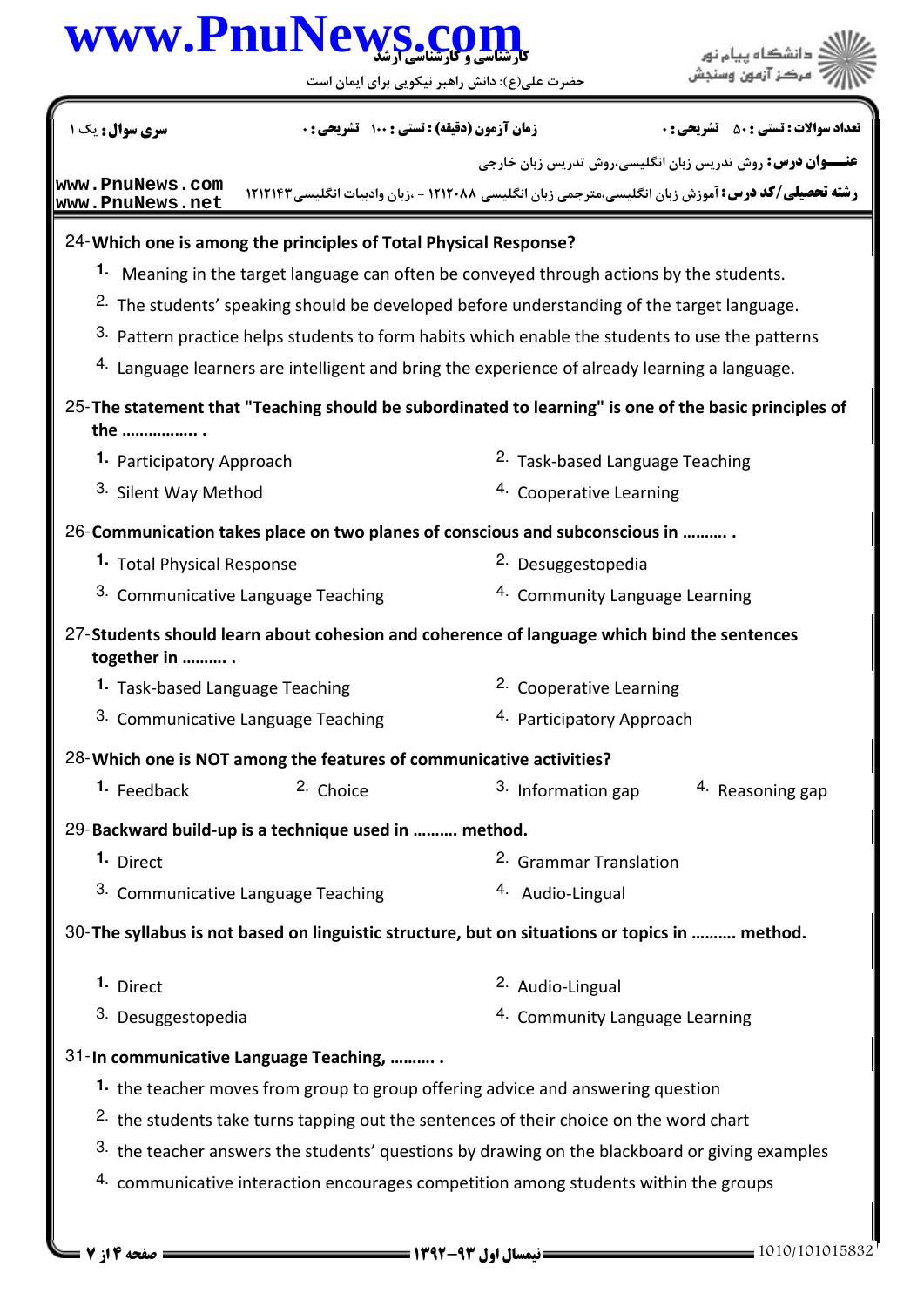## كارشناسي و كارشناسي ارشد **[www.PnuNews.com](http://www.PnuNews.com)**

حضرت علي(ع): دانش راهبر نيكويي براي ايمان است

**عنـــوان درس:** روش تدریس زبان انگلیسی،روش تدریس زبان خارجی **رشته تحصیلی/کد درس:** آموزش زبان انگلیسی،مترجمی زبان انگلیسی ۱۲۱۲۰۸۸ - ،زبان وادبیات انگلیسی۲۱۲۱۴۳ نعداد سوالات : تستي : ۵۰ تشريحي : . زمان آزمون (دقيقه) : تستي : ۱۰۰ تشريحي : . سري سوال : يک 1 Which one is among the principles of Total Physical Response? 24- Meaning in the target language can often be conveyed through actions by the students. **1.** <sup>2.</sup> The students' speaking should be developed before understanding of the target language. 3. Pattern practice helps students to form habits which enable the students to use the patterns  $4.$  Language learners are intelligent and bring the experience of already learning a language. 25-The statement that "Teaching should be subordinated to learning" is one of the basic principles of the …………….. . 2. Task-based Language Teaching 4. Cooperative Learning **1. Participatory Approach** 3. Silent Way Method 26-Communication takes place on two planes of conscious and subconscious in ........... **1.** Total Physical Response **Desuggestopedia 2.** Desuggestopedia 3. Communicative Language Teaching  $\mu$  and  $\mu$  Community Language Learning 27-Students should learn about cohesion and coherence of language which bind the sentences together in ………. . **1.** Task-based Language Teaching **Cooperative Learning 1.** Task-based Language Teaching <sup>3.</sup> Communicative Language Teaching **Participatory Approach** 28- Which one is NOT among the features of communicative activities? **1.** Feedback <sup>2.</sup> Choice <sup>3.</sup> Information gap <sup>4.</sup> Reasoning gap 29-Backward build-up is a technique used in .......... method. 2. Grammar Translation 3. Communicative Language Teaching  $\mu$  and  $\mu$  Audio-Lingual 1. Direct 30-The syllabus is not based on linguistic structure, but on situations or topics in .......... method. 2. Audio-Lingual 4. Community Language Learning 1. Direct 3. Desuggestopedia 31-In communicative Language Teaching, ........... 1. the teacher moves from group to group offering advice and answering question  $2.$  the students take turns tapping out the sentences of their choice on the word chart  $3.$  the teacher answers the students' questions by drawing on the blackboard or giving examples  $4.$  communicative interaction encourages competition among students within the groups **[www.PnuNews.com](http://pnunews.com) [www.PnuNews.net](http://pnunews.net)**

1010/101015832 1392-93 نيمسال اول 4 از 7 صفحه

.<br>دانشگاه پيام نور<br>مرکز آزمون وسنجش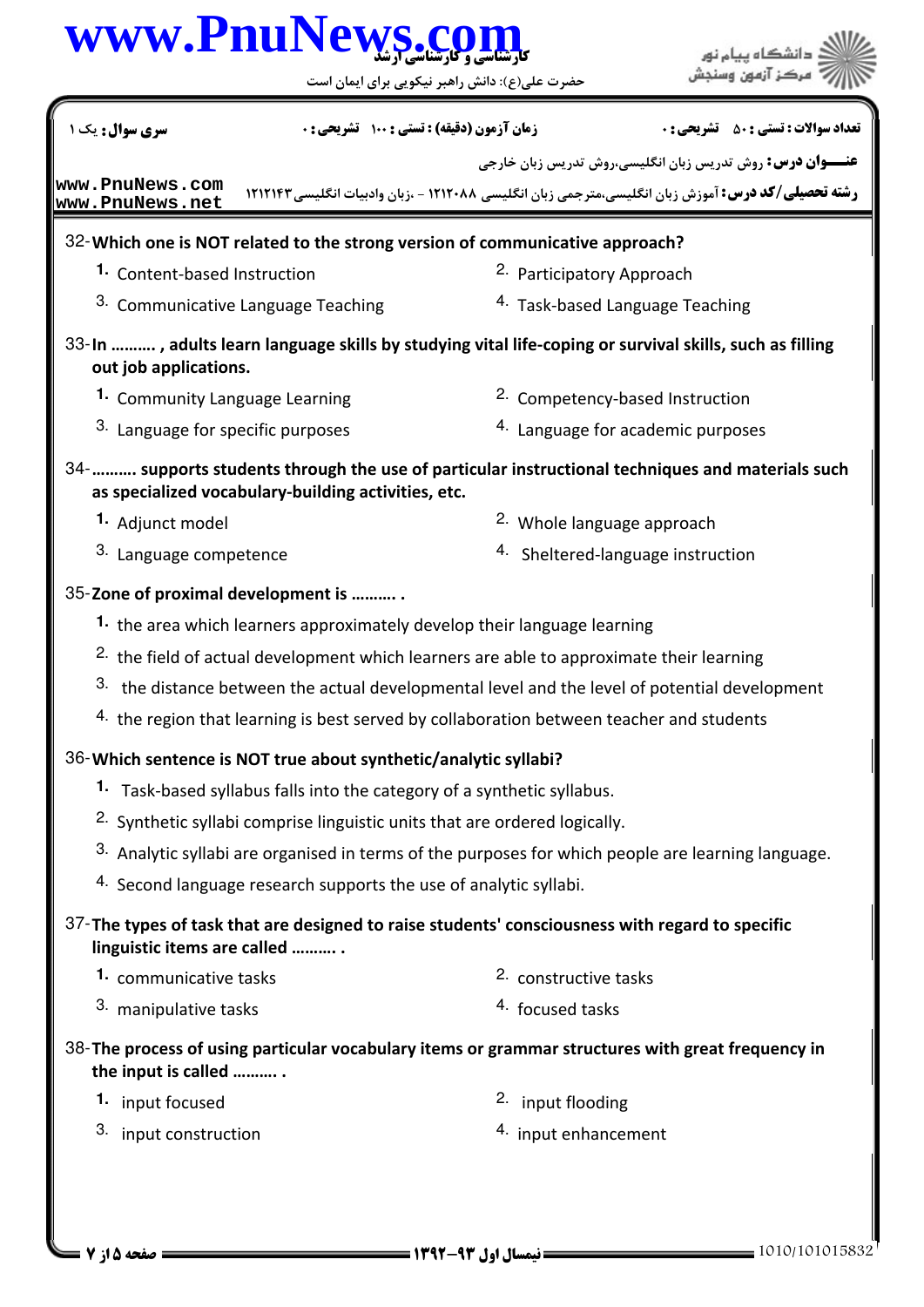# كارشناسي و كارشناسي ارشد **[www.PnuNews.com](http://www.PnuNews.com)**

حضرت علي(ع): دانش راهبر نيكويي براي ايمان است

| سری سوال: یک ۱                     | <b>زمان آزمون (دقیقه) : تستی : 100 تشریحی : 0</b>                                                   |                                       | نعداد سوالات : تستي : 50 ٪ تشريحي : 0                                                                    |  |
|------------------------------------|-----------------------------------------------------------------------------------------------------|---------------------------------------|----------------------------------------------------------------------------------------------------------|--|
|                                    |                                                                                                     |                                       | <b>عنـــوان درس:</b> روش تدریس زبان انگلیسی،روش تدریس زبان خارجی                                         |  |
| www.PnuNews.com<br>www.PnuNews.net |                                                                                                     |                                       | <b>رشته تحصیلی/کد درس:</b> آموزش زبان انگلیسی،مترجمی زبان انگلیسی ۱۲۱۲۰۸۸ - ،زبان وادبیات انگلیسی۱۲۱۲۱۴۳ |  |
|                                    | 32- Which one is NOT related to the strong version of communicative approach?                       |                                       |                                                                                                          |  |
| 1. Content-based Instruction       |                                                                                                     | 2. Participatory Approach             |                                                                                                          |  |
|                                    | <sup>3.</sup> Communicative Language Teaching                                                       |                                       | <sup>4.</sup> Task-based Language Teaching                                                               |  |
| out job applications.              |                                                                                                     |                                       | 33-In , adults learn language skills by studying vital life-coping or survival skills, such as filling   |  |
|                                    | 1. Community Language Learning                                                                      |                                       | <sup>2.</sup> Competency-based Instruction                                                               |  |
|                                    | 3. Language for specific purposes                                                                   |                                       | 4. Language for academic purposes                                                                        |  |
|                                    | as specialized vocabulary-building activities, etc.                                                 |                                       | 34-   supports students through the use of particular instructional techniques and materials such        |  |
| 1. Adjunct model                   |                                                                                                     | <sup>2.</sup> Whole language approach |                                                                                                          |  |
|                                    | 3. Language competence                                                                              |                                       | 4. Sheltered-language instruction                                                                        |  |
|                                    | 35-Zone of proximal development is                                                                  |                                       |                                                                                                          |  |
|                                    | 1. the area which learners approximately develop their language learning                            |                                       |                                                                                                          |  |
|                                    | <sup>2.</sup> the field of actual development which learners are able to approximate their learning |                                       |                                                                                                          |  |
|                                    | 3. the distance between the actual developmental level and the level of potential development       |                                       |                                                                                                          |  |
|                                    | 4. the region that learning is best served by collaboration between teacher and students            |                                       |                                                                                                          |  |
|                                    | 36-Which sentence is NOT true about synthetic/analytic syllabi?                                     |                                       |                                                                                                          |  |
|                                    | 1. Task-based syllabus falls into the category of a synthetic syllabus.                             |                                       |                                                                                                          |  |
|                                    | <sup>2.</sup> Synthetic syllabi comprise linguistic units that are ordered logically.               |                                       |                                                                                                          |  |
|                                    |                                                                                                     |                                       | 3. Analytic syllabi are organised in terms of the purposes for which people are learning language.       |  |
|                                    | 4. Second language research supports the use of analytic syllabi.                                   |                                       |                                                                                                          |  |
| linguistic items are called        | 37-The types of task that are designed to raise students' consciousness with regard to specific     |                                       |                                                                                                          |  |
| 1. communicative tasks             |                                                                                                     | 2. constructive tasks                 |                                                                                                          |  |
| 3. manipulative tasks              |                                                                                                     | 4. focused tasks                      |                                                                                                          |  |
| the input is called                | 38-The process of using particular vocabulary items or grammar structures with great frequency in   |                                       |                                                                                                          |  |
| 1. input focused                   |                                                                                                     | 2. input flooding                     |                                                                                                          |  |
| 3. input construction              |                                                                                                     | 4. input enhancement                  |                                                                                                          |  |
|                                    |                                                                                                     |                                       |                                                                                                          |  |
|                                    |                                                                                                     |                                       |                                                                                                          |  |
|                                    |                                                                                                     |                                       |                                                                                                          |  |

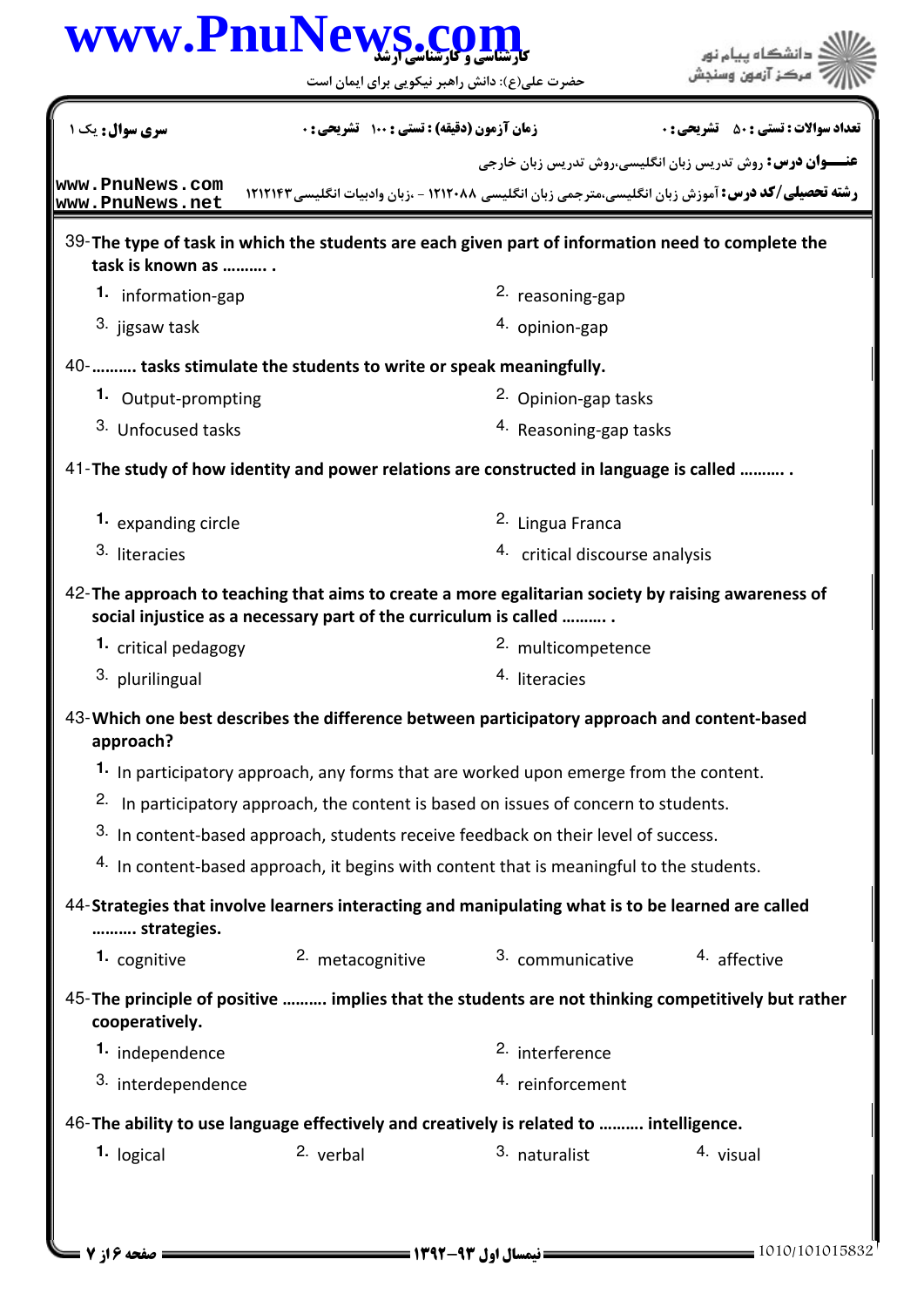|                                                                                                                       |                                                                                                 | www.PnuNews.co                 | دانشڪاه پيام نور<br>مرڪز آزمون وسنجش                                                                      |
|-----------------------------------------------------------------------------------------------------------------------|-------------------------------------------------------------------------------------------------|--------------------------------|-----------------------------------------------------------------------------------------------------------|
|                                                                                                                       | حضرت علی(ع): دانش راهبر نیکویی برای ایمان است                                                   |                                |                                                                                                           |
| <b>سری سوال :</b> یک ۱                                                                                                | زمان آزمون (دقیقه) : تستی : 100 تشریحی : 0                                                      |                                | <b>تعداد سوالات : تستي : 50 ٪ تشريحي : 0</b>                                                              |
|                                                                                                                       |                                                                                                 |                                | <b>عنـــوان درس:</b> روش تدریس زبان انگلیسی،روش تدریس زبان خارجی                                          |
| www.PnuNews.com<br>www.PnuNews.net                                                                                    |                                                                                                 |                                | <b>رشته تحصیلی/کد درس:</b> آموزش زبان انگلیسی،مترجمی زبان انگلیسی ۱۲۱۲۰۸۸ - ،زبان وادبیات انگلیسی ۱۲۱۲۱۴۲ |
| 39-The type of task in which the students are each given part of information need to complete the<br>task is known as |                                                                                                 |                                |                                                                                                           |
| 1. information-gap                                                                                                    |                                                                                                 | <sup>2.</sup> reasoning-gap    |                                                                                                           |
| 3. jigsaw task                                                                                                        |                                                                                                 | 4. opinion-gap                 |                                                                                                           |
| 40-  tasks stimulate the students to write or speak meaningfully.                                                     |                                                                                                 |                                |                                                                                                           |
| 1. Output-prompting                                                                                                   |                                                                                                 | 2. Opinion-gap tasks           |                                                                                                           |
| 3. Unfocused tasks                                                                                                    |                                                                                                 | 4. Reasoning-gap tasks         |                                                                                                           |
| 41-The study of how identity and power relations are constructed in language is called                                |                                                                                                 |                                |                                                                                                           |
| 1. expanding circle                                                                                                   |                                                                                                 | <sup>2.</sup> Lingua Franca    |                                                                                                           |
| 3. literacies                                                                                                         |                                                                                                 | 4. critical discourse analysis |                                                                                                           |
| 42-The approach to teaching that aims to create a more egalitarian society by raising awareness of                    | social injustice as a necessary part of the curriculum is called                                |                                |                                                                                                           |
| <sup>1</sup> critical pedagogy                                                                                        |                                                                                                 | 2. multicompetence             |                                                                                                           |
| 3. plurilingual                                                                                                       |                                                                                                 | <sup>4.</sup> literacies       |                                                                                                           |
| 43-Which one best describes the difference between participatory approach and content-based<br>approach?              |                                                                                                 |                                |                                                                                                           |
|                                                                                                                       | 1. In participatory approach, any forms that are worked upon emerge from the content.           |                                |                                                                                                           |
|                                                                                                                       | <sup>2.</sup> In participatory approach, the content is based on issues of concern to students. |                                |                                                                                                           |
|                                                                                                                       | 3. In content-based approach, students receive feedback on their level of success.              |                                |                                                                                                           |
|                                                                                                                       | 4. In content-based approach, it begins with content that is meaningful to the students.        |                                |                                                                                                           |
| 44-Strategies that involve learners interacting and manipulating what is to be learned are called<br>strategies.      |                                                                                                 |                                |                                                                                                           |
| 1. cognitive                                                                                                          | 2. metacognitive                                                                                | 3. communicative               | 4. affective                                                                                              |
| 45-The principle of positive  implies that the students are not thinking competitively but rather<br>cooperatively.   |                                                                                                 |                                |                                                                                                           |
| 1. independence                                                                                                       |                                                                                                 | 2. interference                |                                                                                                           |
| 3. interdependence                                                                                                    |                                                                                                 | 4. reinforcement               |                                                                                                           |
| 46-The ability to use language effectively and creatively is related to  intelligence.                                |                                                                                                 |                                |                                                                                                           |
|                                                                                                                       |                                                                                                 |                                |                                                                                                           |